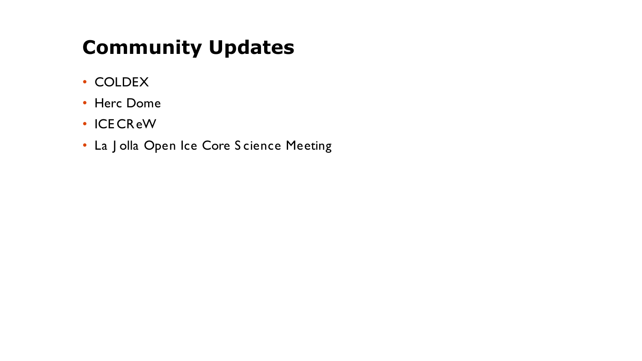# **Community Updates**

- COLDEX
- Herc Dome
- ICE CReW
- La J olla Open Ice Core S cience Meeting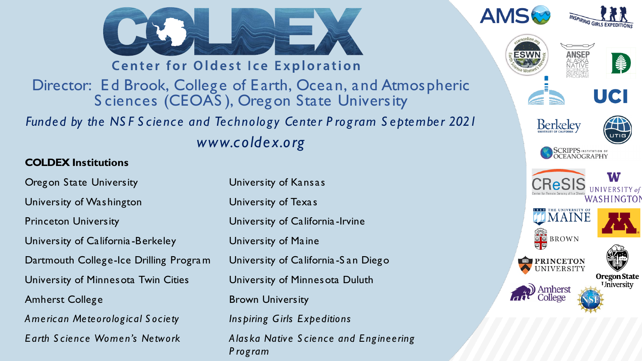







**Center for Oldest Ice Exploration** 

Director: Ed Brook, College of Earth, Ocean, and Atmospheric Sciences (CEOAS), Oregon State University

Funded by the NSF Science and Technology Center Program September 2021 www.coldex.org

#### **COLDEX Institutions**

**Oregon State University** University of Washington **Princeton University** University of California-Berkeley Dartmouth College-Ice Drilling Program University of Minnes ota Twin Cities **Amherst College** American Meteorological Society Earth Science Women's Network

University of Kansas University of Texas University of California-Irvine University of Maine University of California-San Diego University of Minnes ota Duluth **Brown University** Inspiring Girls Expeditions Alaska Native Science and Engineering Program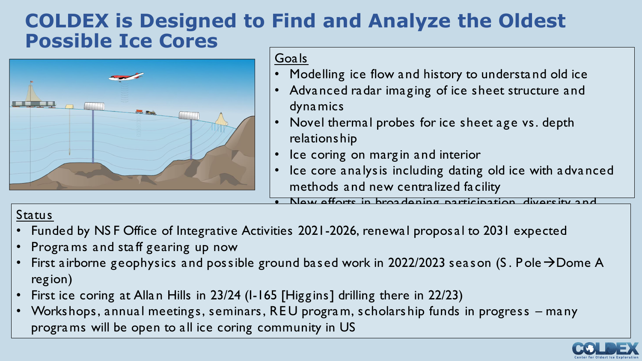# **COLDEX is Designed to Find and Analyze the Oldest Possible Ice Cores**



### Goals

- Modelling ice flow and history to understa nd old ice
- Advanced radar imaging of ice sheet structure and dynamics
- Novel thermal probes for ice sheet age vs. depth relationship
- Ice coring on margin and interior
	- Ice core analysis including dating old ice with advanced methods and new centralized facility

New offorts in broadening participation

- k<mark>Status</mark> transfer Status transfer Status transfer Status transfer Status transfer Status transfer Status transfer • Funded by NS F Office of Integrative Activities 2021-2026, renewal proposal to 2031 expected
- Progra ms and staff gearing up now
- First airborne geophysics and possible ground based work in 2022/2023 season (S. Pole  $\rightarrow$  Dome A region)
- First ice coring at Allan Hills in 23/24 (I-165 [Higgins] drilling there in 22/23)
- Workshops, annual meetings, seminars, RE U progra m, scholarship funds in progress many progra ms will be open to all ice coring community in US

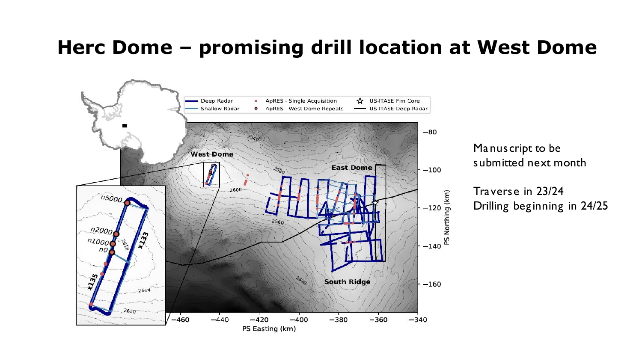# **Herc Dome – promising drill location at West Dome**



Manuscript to be submitted next month

Traverse in 23/24 Drilling beginning in 24/25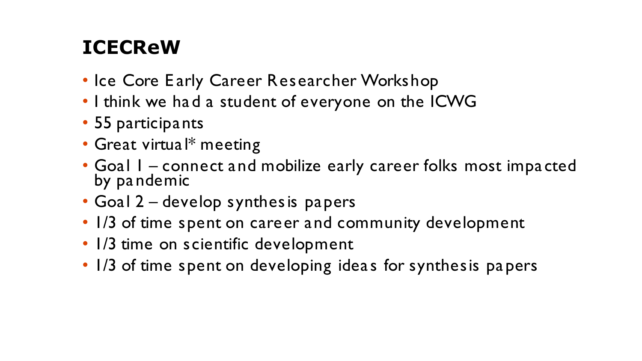# **ICECReW**

- Ice Core Early Career Researcher Workshop
- I think we had a student of everyone on the ICWG
- 55 participants
- Great virtual\* meeting
- Goal 1 connect and mobilize early career folks most impacted by pandemic
- Goal 2 develop synthesis papers
- 1/3 of time spent on career and community development
- 1/3 time on scientific development
- 1/3 of time spent on developing ideas for synthesis papers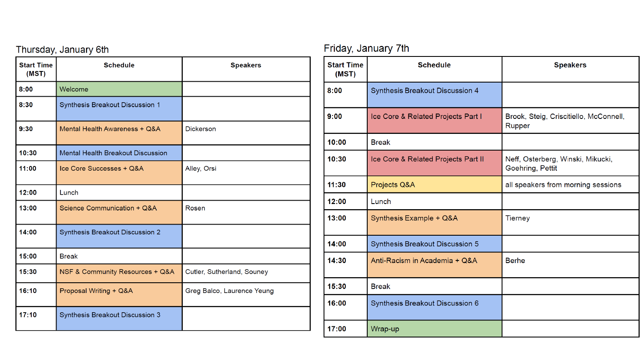| Thursday, January 6th      |                                          |                            |  |
|----------------------------|------------------------------------------|----------------------------|--|
| <b>Start Time</b><br>(MST) | <b>Schedule</b>                          | <b>Speakers</b>            |  |
| 8:00                       | Welcome                                  |                            |  |
| 8:30                       | Synthesis Breakout Discussion 1          |                            |  |
| 9:30                       | Mental Health Awareness + Q&A            | <b>Dickerson</b>           |  |
| 10:30                      | <b>Mental Health Breakout Discussion</b> |                            |  |
| 11:00                      | Ice Core Successes + Q&A                 | Alley, Orsi                |  |
| 12:00                      | Lunch                                    |                            |  |
| 13:00                      | Science Communication + Q&A              | Rosen                      |  |
| 14:00                      | <b>Synthesis Breakout Discussion 2</b>   |                            |  |
| 15:00                      | <b>Break</b>                             |                            |  |
| 15:30                      | NSF & Community Resources + Q&A          | Cutler, Sutherland, Souney |  |
| 16:10                      | Proposal Writing + Q&A                   | Greg Balco, Laurence Yeung |  |
| 17:10                      | Synthesis Breakout Discussion 3          |                            |  |

### Friday, January 7th

| <b>Start Time</b><br>(MST) | <b>Schedule</b>                        | <b>Speakers</b>                                       |
|----------------------------|----------------------------------------|-------------------------------------------------------|
| 8:00                       | <b>Synthesis Breakout Discussion 4</b> |                                                       |
| 9:00                       | Ice Core & Related Projects Part I     | Brook, Steig, Criscitiello, McConnell,<br>Rupper      |
| 10:00                      | <b>Break</b>                           |                                                       |
| 10:30                      | Ice Core & Related Projects Part II    | Neff, Osterberg, Winski, Mikucki,<br>Goehring, Pettit |
| 11:30                      | Projects Q&A                           | all speakers from morning sessions                    |
| 12:00                      | Lunch                                  |                                                       |
| 13:00                      | Synthesis Example + Q&A                | <b>Tierney</b>                                        |
| 14:00                      | <b>Synthesis Breakout Discussion 5</b> |                                                       |
| 14:30                      | Anti-Racism in Academia + Q&A          | <b>Berhe</b>                                          |
| 15:30                      | <b>Break</b>                           |                                                       |
| 16:00                      | Synthesis Breakout Discussion 6        |                                                       |
| 17:00                      | Wrap-up                                |                                                       |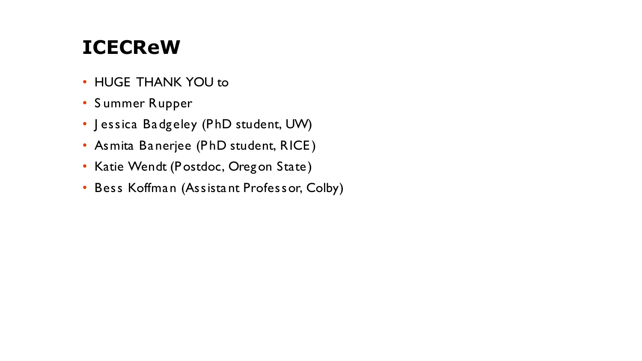# **ICECReW**

- HUGE THANK YOU to
- S ummer Rupper
- Jessica Badgeley (PhD student, UW)
- Asmita Banerjee (PhD student, RICE)
- Katie Wendt (P ostdoc, Oregon State)
- Bess Koffman (Assista nt Professor, Colby)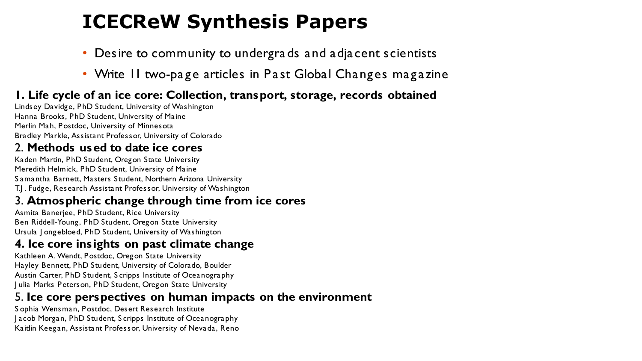# **ICECReW Synthesis Papers**

- Desire to community to undergra ds and adjacent scientists
- Write II two-page articles in Past Global Changes magazine

### **1. Life cycle of an ice core: Collection, transport, storage, records obtained**

Lindsey Davidge, PhD Student, University of Washington Hanna Brooks, PhD Student, University of Maine Merlin Mah, Postdoc, University of Minnesota Bradley Markle, Assistant Professor, University of Colorado

#### 2. **Methods used to date ice cores**

Kaden Martin, PhD Student, Oregon State University Meredith Helmick, PhD Student, University of Maine S amantha Barnett, Masters Student, Northern Arizona University T.J . Fudge, Research Assistant Professor, University of Washington

#### 3. **Atmospheric change through time from ice cores**

Asmita Banerjee, PhD Student, Rice University Ben Riddell-Young, PhD Student, Oregon State University Ursula J ongebloed, PhD Student, University of Washington

## **4. Ice core insights on past climate change**

Kathleen A. Wendt, Postdoc, Oregon State University Hayley Bennett, PhD Student, University of Colorado, Boulder Austin Carter, PhD Student, S cripps Institute of Oceanography J ulia Marks Peterson, PhD Student, Oregon State University

### 5. **Ice core perspectives on human impacts on the environment**

S ophia Wensman, Postdoc, Desert Research Institute J acob Morgan, PhD Student, S cripps Institute of Oceanography Kaitlin Keegan, Assistant Professor, University of Nevada, Reno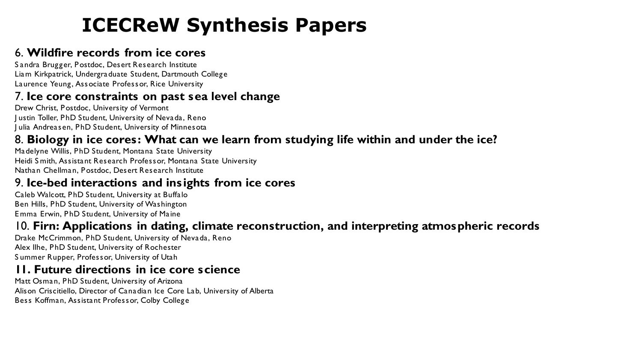# **ICECReW Synthesis Papers**

### 6. **Wildfire records from ice cores**

S andra Brugger, Postdoc, Desert Research Institute Liam Kirkpatrick, Undergraduate Student, Dartmouth College Laurence Yeung, Associate Professor, Rice University

### 7. **Ice core constraints on past sea level change**

Drew Christ, Postdoc, University of Vermont J ustin Toller, PhD Student, University of Nevada, Reno J ulia Andreasen, PhD Student, University of Minnesota

### 8. **Biology in ice cores: What can we learn from studying life within and under the ice?**

Madelyne Willis, PhD Student, Montana State University Heidi S mith, Assistant Research Professor, Montana State University Nathan Chellman, Postdoc, Desert Research Institute

#### 9. **Ice-bed interactions and insights from ice cores**

Caleb Walcott, PhD Student, University at Buffalo Ben Hills, PhD Student, University of Washington E mma Erwin, PhD Student, University of Maine

### 10. **Firn: Applications in dating, climate reconstruction, and interpreting atmospheric records**

Drake McCrimmon, PhD Student, University of Nevada, Reno Alex Ilhe, PhD Student, University of Rochester S ummer Rupper, Professor, University of Utah

### **11. Future directions in ice core science**

Matt Osman, PhD Student, University of Arizona Alison Criscitiello, Director of Canadian Ice Core Lab, University of Alberta Bess Koffman, Assistant Professor, Colby College